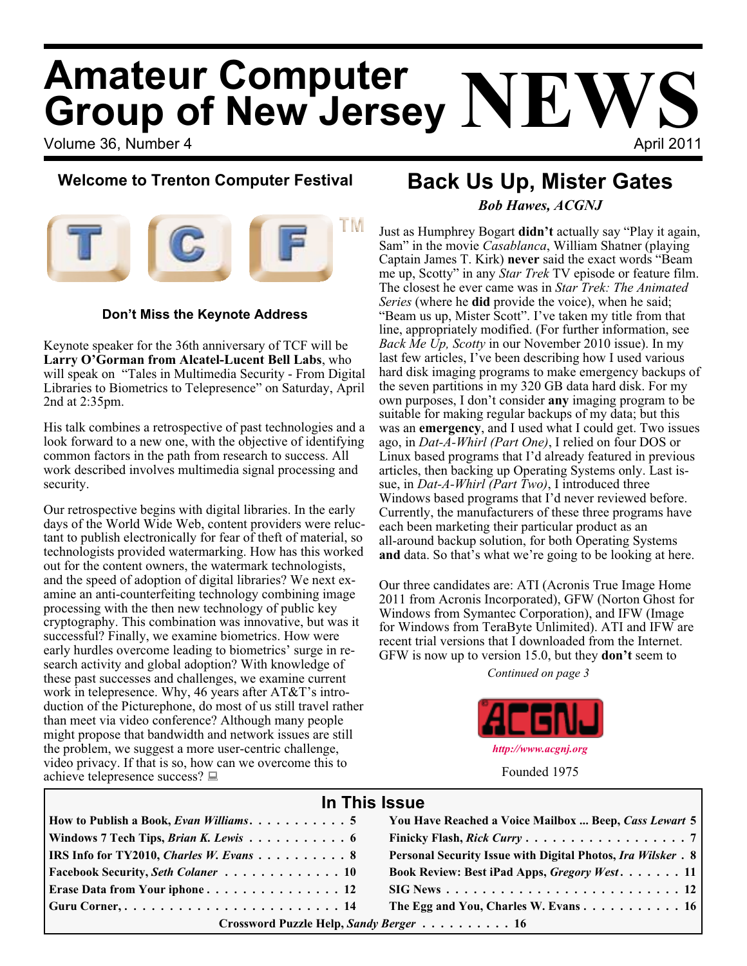# Volume 36, Number 4 April 2011 **Amateur Computer Group of New Jersey NEWS**

## **Welcome to Trenton Computer Festival**



### **Don't Miss the Keynote Address**

Keynote speaker for the 36th anniversary of TCF will be **Larry O'Gorman from Alcatel-Lucent Bell Labs**, who will speak on "Tales in Multimedia Security - From Digital Libraries to Biometrics to Telepresence" on Saturday, April 2nd at 2:35pm.

His talk combines a retrospective of past technologies and a look forward to a new one, with the objective of identifying common factors in the path from research to success. All work described involves multimedia signal processing and security.

Our retrospective begins with digital libraries. In the early days of the World Wide Web, content providers were reluctant to publish electronically for fear of theft of material, so technologists provided watermarking. How has this worked out for the content owners, the watermark technologists, and the speed of adoption of digital libraries? We next examine an anti-counterfeiting technology combining image processing with the then new technology of public key cryptography. This combination was innovative, but was it successful? Finally, we examine biometrics. How were early hurdles overcome leading to biometrics' surge in research activity and global adoption? With knowledge of these past successes and challenges, we examine current work in telepresence. Why, 46 years after AT&T's introduction of the Picturephone, do most of us still travel rather than meet via video conference? Although many people might propose that bandwidth and network issues are still the problem, we suggest a more user-centric challenge, video privacy. If that is so, how can we overcome this to achieve telepresence success?

## **Back Us Up, Mister Gates** *Bob Hawes, ACGNJ*

Just as Humphrey Bogart **didn't** actually say "Play it again, Sam" in the movie *Casablanca*, William Shatner (playing Captain James T. Kirk) **never** said the exact words "Beam me up, Scotty" in any *Star Trek* TV episode or feature film. The closest he ever came was in *Star Trek: The Animated Series* (where he **did** provide the voice), when he said; "Beam us up, Mister Scott". I've taken my title from that line, appropriately modified. (For further information, see *Back Me Up, Scotty* in our November 2010 issue). In my last few articles, I've been describing how I used various hard disk imaging programs to make emergency backups of the seven partitions in my 320 GB data hard disk. For my own purposes, I don't consider **any** imaging program to be suitable for making regular backups of my data; but this was an **emergency**, and I used what I could get. Two issues ago, in *Dat-A-Whirl (Part One)*, I relied on four DOS or Linux based programs that I'd already featured in previous articles, then backing up Operating Systems only. Last issue, in *Dat-A-Whirl (Part Two)*, I introduced three Windows based programs that I'd never reviewed before. Currently, the manufacturers of these three programs have each been marketing their particular product as an all-around backup solution, for both Operating Systems **and** data. So that's what we're going to be looking at here.

Our three candidates are: ATI (Acronis True Image Home 2011 from Acronis Incorporated), GFW (Norton Ghost for Windows from Symantec Corporation), and IFW (Image for Windows from TeraByte Unlimited). ATI and IFW are recent trial versions that I downloaded from the Internet. GFW is now up to version 15.0, but they **don't** seem to

*Continued on page 3*



Founded 1975

## **In This Issue**

| How to Publish a Book, Evan Williams. $\ldots \ldots \ldots \ldots 5$ | You Have Reached a Voice Mailbox  Beep, Cass Lewart 5                                        |  |
|-----------------------------------------------------------------------|----------------------------------------------------------------------------------------------|--|
| Windows 7 Tech Tips, Brian K. Lewis 6                                 |                                                                                              |  |
| <b>IRS Info for TY2010, Charles W. Evans</b> 8                        | <b>Personal Security Issue with Digital Photos, Ira Wilsker. 8</b>                           |  |
| <b>Facebook Security, Seth Colaner</b> 10                             | Book Review: Best iPad Apps, Gregory West. 11                                                |  |
| Erase Data from Your iphone 12                                        | $\text{SIG News} \dots \dots \dots \dots \dots \dots \dots \dots \dots \dots \dots \dots 12$ |  |
|                                                                       | The Egg and You, Charles W. Evans 16                                                         |  |
| Crossword Puzzle Help, Sandy Berger 16                                |                                                                                              |  |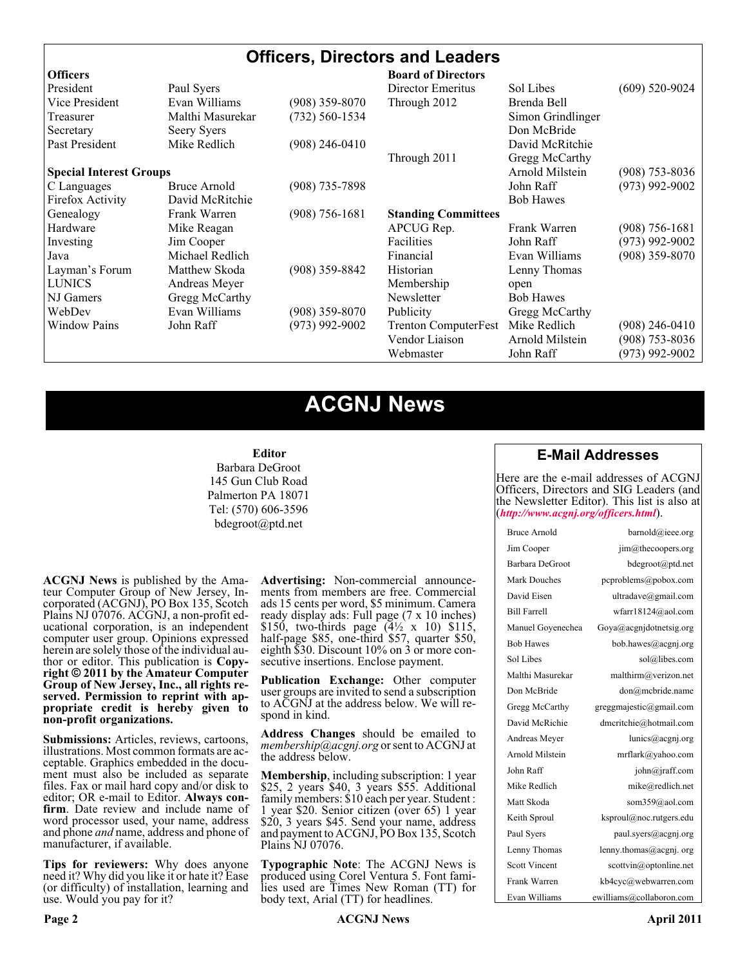## **Officers, Directors and Leaders**

| <b>Officers</b>                |                  |                    | <b>Board of Directors</b>   |                   |                    |
|--------------------------------|------------------|--------------------|-----------------------------|-------------------|--------------------|
| President                      | Paul Syers       |                    | Director Emeritus           | Sol Libes         | $(609)$ 520-9024   |
| Vice President                 | Evan Williams    | $(908)$ 359-8070   | Through 2012                | Brenda Bell       |                    |
| Treasurer                      | Malthi Masurekar | (732) 560-1534     |                             | Simon Grindlinger |                    |
| Secretary                      | Seery Syers      |                    |                             | Don McBride       |                    |
| Past President                 | Mike Redlich     | $(908)$ 246-0410   |                             | David McRitchie   |                    |
|                                |                  |                    | Through 2011                | Gregg McCarthy    |                    |
| <b>Special Interest Groups</b> |                  |                    |                             | Arnold Milstein   | $(908)$ 753-8036   |
| C Languages                    | Bruce Arnold     | $(908)$ 735-7898   |                             | John Raff         | $(973)$ 992-9002   |
| Firefox Activity               | David McRitchie  |                    |                             | <b>Bob Hawes</b>  |                    |
| Genealogy                      | Frank Warren     | $(908) 756 - 1681$ | <b>Standing Committees</b>  |                   |                    |
| Hardware                       | Mike Reagan      |                    | APCUG Rep.                  | Frank Warren      | $(908) 756 - 1681$ |
| Investing                      | Jim Cooper       |                    | Facilities                  | John Raff         | $(973)$ 992-9002   |
| Java                           | Michael Redlich  |                    | Financial                   | Evan Williams     | $(908)$ 359-8070   |
| Layman's Forum                 | Matthew Skoda    | $(908)$ 359-8842   | Historian                   | Lenny Thomas      |                    |
| <b>LUNICS</b>                  | Andreas Meyer    |                    | Membership                  | open              |                    |
| NJ Gamers                      | Gregg McCarthy   |                    | Newsletter                  | <b>Bob Hawes</b>  |                    |
| WebDev                         | Evan Williams    | $(908)$ 359-8070   | Publicity                   | Gregg McCarthy    |                    |
| <b>Window Pains</b>            | John Raff        | $(973)$ 992-9002   | <b>Trenton ComputerFest</b> | Mike Redlich      | (908) 246-0410     |
|                                |                  |                    | Vendor Liaison              | Arnold Milstein   | $(908)$ 753-8036   |
|                                |                  |                    | Webmaster                   | John Raff         | $(973)$ 992-9002   |

## **ACGNJ News**

#### **Editor**

Barbara DeGroot 145 Gun Club Road Palmerton PA 18071 Tel: (570) 606-3596 bdegroot@ptd.net

**ACGNJ News** is published by the Ama- teur Computer Group of New Jersey, In- corporated (ACGNJ), PO Box 135, Scotch Plains NJ 07076. ACGNJ, a non-profit ed- ucational corporation, is an independent computer user group. Opinions expressed herein are solely those of the individual author or editor. This publication is **Copy-**<br>**right**  $\bigcirc$  2011 by the Amateur Computer<br>**Group of New Jersey, Inc., all rights re-Group of New Jersey, Inc., all rights re- served. Permission to reprint with ap- propriate credit is hereby given to non-profit organizations.**

**Submissions:** Articles, reviews, cartoons, illustrations. Most common formats are ac- ceptable. Graphics embedded in the docu- ment must also be included as separate files. Fax or mail hard copy and/or disk to editor; OR e-mail to Editor. Always confirm. Date review and include name of word processor used, your name, address and phone *and* name, address and phone of manufacturer, if available.

**Tips for reviewers:** Why does anyone need it? Why did you like it or hate it? Ease (or difficulty) of installation, learning and use. Would you pay for it?

**Advertising:** Non-commercial announce- ments from members are free. Commercial ads 15 cents per word, \$5 minimum. Camera ready display ads: Full page (7 x 10 inches) \$150, two-thirds page  $(4\frac{1}{2} \times 10)$  \$115, half-page \$85, one-third \$57, quarter \$50, eighth \$30. Discount 10% on 3 or more con- secutive insertions. Enclose payment.

**Publication Exchange:** Other computer user groups are invited to send a subscription to ACGNJ at the address below. We will re- spond in kind.

**Address Changes** should be emailed to *membership@acgnj.org* or sent to ACGNJ at the address below.

**Membership**, including subscription: 1 year \$25, 2 years \$40, 3 years \$55. Additional family members: \$10 each per year. Student : 1 year \$20. Senior citizen (over 65) 1 year \$20, 3 years \$45. Send your name, address and payment to ACGNJ, PO Box 135, Scotch Plains NJ 07076.

**Typographic Note**: The ACGNJ News is produced using Corel Ventura 5. Font fami- lies used are Times New Roman (TT) for body text, Arial (TT) for headlines.

#### **E-Mail Addresses**

Here are the e-mail addresses of ACGNJ Officers, Directors and SIG Leaders (and the Newsletter Editor). This list is also at (*<http://www.acgnj.org/officers.html>*).

| Bruce Arnold         | barnold@ieee.org                     |
|----------------------|--------------------------------------|
| Jim Cooper           | jim@thecoopers.org                   |
| Barbara DeGroot      | bdegroot@ptd.net                     |
| Mark Douches         | pcproblems@pobox.com                 |
| David Eisen          | ultradave@gmail.com                  |
| <b>Bill Farrell</b>  | wfarr18124@aol.com                   |
| Manuel Goyenechea    | Goya@acgnidotnetsig.org              |
| <b>Bob Hawes</b>     | bob.hawes@acgnj.org                  |
| Sol Libes            | sol@libes.com                        |
| Malthi Masurekar     | malthirm@verizon.net                 |
| Don McBride          | don@mcbride.name                     |
| Gregg McCarthy       | greggmajestic@gmail.com              |
| David McRichie       | dmcritchie@hotmail.com               |
| Andreas Meyer        | lunics@acgnj.org                     |
| Arnold Milstein      | mrflark@yahoo.com                    |
| John Raff            | $\overline{\text{iohn}(a)}$ raff.com |
| Mike Redlich         | mike@redlich.net                     |
| Matt Skoda           | som359@aol.com                       |
| Keith Sproul         | ksproul@noc.rutgers.edu              |
| Paul Syers           | paul.syers@acgnj.org                 |
| Lenny Thomas         | lenny.thomas@acgnj.org               |
| <b>Scott Vincent</b> | scottvin@optonline.net               |
| Frank Warren         | kb4cyc@webwarren.com                 |
| Evan Williams        | ewilliams@collaboron.com             |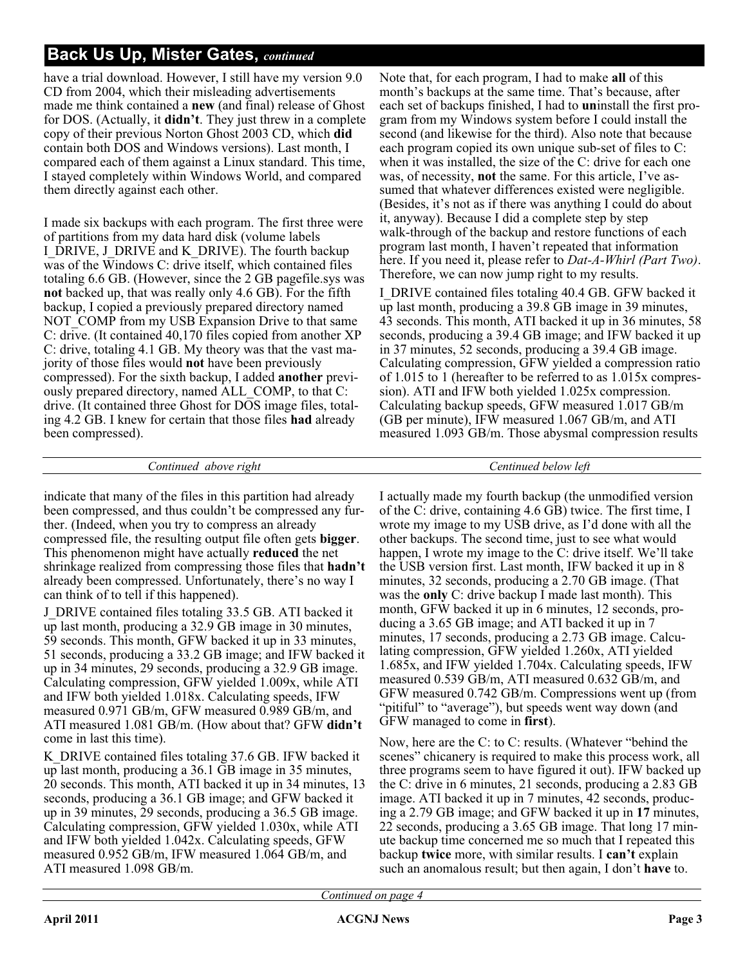## **Back Us Up, Mister Gates,** *continued*

have a trial download. However, I still have my version 9.0 CD from 2004, which their misleading advertisements made me think contained a **new** (and final) release of Ghost for DOS. (Actually, it **didn't**. They just threw in a complete copy of their previous Norton Ghost 2003 CD, which **did** contain both DOS and Windows versions). Last month, I compared each of them against a Linux standard. This time, I stayed completely within Windows World, and compared them directly against each other.

I made six backups with each program. The first three were of partitions from my data hard disk (volume labels I\_DRIVE, J\_DRIVE and K\_DRIVE). The fourth backup was of the Windows C: drive itself, which contained files totaling 6.6 GB. (However, since the 2 GB pagefile.sys was **not** backed up, that was really only 4.6 GB). For the fifth backup, I copied a previously prepared directory named NOT COMP from my USB Expansion Drive to that same C: drive. (It contained 40,170 files copied from another XP C: drive, totaling 4.1 GB. My theory was that the vast majority of those files would **not** have been previously compressed). For the sixth backup, I added **another** previously prepared directory, named ALL\_COMP, to that C: drive. (It contained three Ghost for DOS image files, totaling 4.2 GB. I knew for certain that those files **had** already been compressed).

Note that, for each program, I had to make **all** of this month's backups at the same time. That's because, after each set of backups finished, I had to **un**install the first program from my Windows system before I could install the second (and likewise for the third). Also note that because each program copied its own unique sub-set of files to C: when it was installed, the size of the C: drive for each one was, of necessity, **not** the same. For this article, I've assumed that whatever differences existed were negligible. (Besides, it's not as if there was anything I could do about it, anyway). Because I did a complete step by step walk-through of the backup and restore functions of each program last month, I haven't repeated that information here. If you need it, please refer to *Dat-A-Whirl (Part Two)*. Therefore, we can now jump right to my results.

I\_DRIVE contained files totaling 40.4 GB. GFW backed it up last month, producing a 39.8 GB image in 39 minutes, 43 seconds. This month, ATI backed it up in 36 minutes, 58 seconds, producing a 39.4 GB image; and IFW backed it up in 37 minutes, 52 seconds, producing a 39.4 GB image. Calculating compression, GFW yielded a compression ratio of 1.015 to 1 (hereafter to be referred to as 1.015x compression). ATI and IFW both yielded 1.025x compression. Calculating backup speeds, GFW measured 1.017 GB/m (GB per minute), IFW measured 1.067 GB/m, and ATI measured 1.093 GB/m. Those abysmal compression results

#### *Continued above right Centinued below left*

indicate that many of the files in this partition had already been compressed, and thus couldn't be compressed any further. (Indeed, when you try to compress an already compressed file, the resulting output file often gets **bigger**. This phenomenon might have actually **reduced** the net shrinkage realized from compressing those files that **hadn't** already been compressed. Unfortunately, there's no way I can think of to tell if this happened).

J\_DRIVE contained files totaling 33.5 GB. ATI backed it up last month, producing a 32.9 GB image in 30 minutes, 59 seconds. This month, GFW backed it up in 33 minutes, 51 seconds, producing a 33.2 GB image; and IFW backed it up in 34 minutes, 29 seconds, producing a 32.9 GB image. Calculating compression, GFW yielded 1.009x, while ATI and IFW both yielded 1.018x. Calculating speeds, IFW measured 0.971 GB/m, GFW measured 0.989 GB/m, and ATI measured 1.081 GB/m. (How about that? GFW **didn't** come in last this time).

K\_DRIVE contained files totaling 37.6 GB. IFW backed it up last month, producing a 36.1 GB image in 35 minutes, 20 seconds. This month, ATI backed it up in 34 minutes, 13 seconds, producing a 36.1 GB image; and GFW backed it up in 39 minutes, 29 seconds, producing a 36.5 GB image. Calculating compression, GFW yielded 1.030x, while ATI and IFW both yielded 1.042x. Calculating speeds, GFW measured 0.952 GB/m, IFW measured 1.064 GB/m, and ATI measured 1.098 GB/m.

I actually made my fourth backup (the unmodified version of the C: drive, containing 4.6 GB) twice. The first time, I wrote my image to my USB drive, as I'd done with all the other backups. The second time, just to see what would happen, I wrote my image to the C: drive itself. We'll take the USB version first. Last month, IFW backed it up in 8 minutes, 32 seconds, producing a 2.70 GB image. (That was the **only** C: drive backup I made last month). This month, GFW backed it up in 6 minutes, 12 seconds, producing a 3.65 GB image; and ATI backed it up in 7 minutes, 17 seconds, producing a 2.73 GB image. Calculating compression, GFW yielded 1.260x, ATI yielded 1.685x, and IFW yielded 1.704x. Calculating speeds, IFW measured 0.539 GB/m, ATI measured 0.632 GB/m, and GFW measured 0.742 GB/m. Compressions went up (from "pitiful" to "average"), but speeds went way down (and GFW managed to come in **first**).

Now, here are the C: to C: results. (Whatever "behind the scenes" chicanery is required to make this process work, all three programs seem to have figured it out). IFW backed up the C: drive in 6 minutes, 21 seconds, producing a 2.83 GB image. ATI backed it up in 7 minutes, 42 seconds, producing a 2.79 GB image; and GFW backed it up in **17** minutes, 22 seconds, producing a 3.65 GB image. That long 17 minute backup time concerned me so much that I repeated this backup **twice** more, with similar results. I **can't** explain such an anomalous result; but then again, I don't **have** to.

*Continued on page 4*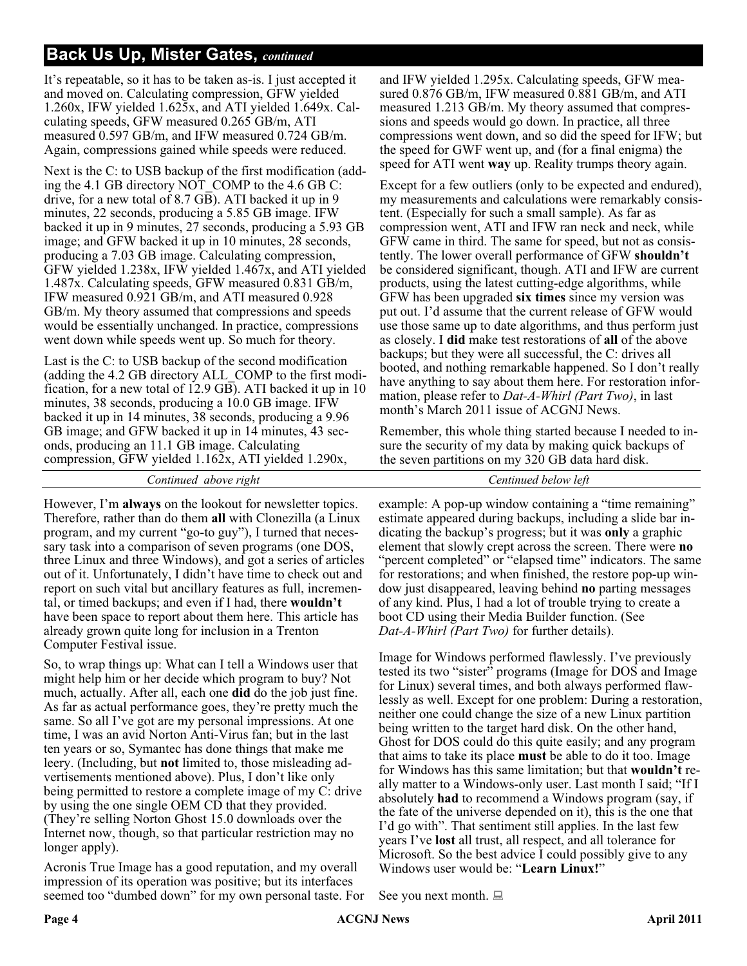## **Back Us Up, Mister Gates,** *continued*

It's repeatable, so it has to be taken as-is. I just accepted it and moved on. Calculating compression, GFW yielded 1.260x, IFW yielded 1.625x, and ATI yielded 1.649x. Calculating speeds, GFW measured 0.265 GB/m, ATI measured 0.597 GB/m, and IFW measured 0.724 GB/m. Again, compressions gained while speeds were reduced.

Next is the C: to USB backup of the first modification (adding the 4.1 GB directory NOT\_COMP to the 4.6 GB C: drive, for a new total of 8.7 GB). ATI backed it up in 9 minutes, 22 seconds, producing a 5.85 GB image. IFW backed it up in 9 minutes, 27 seconds, producing a 5.93 GB image; and GFW backed it up in 10 minutes, 28 seconds, producing a 7.03 GB image. Calculating compression, GFW yielded 1.238x, IFW yielded 1.467x, and ATI yielded 1.487x. Calculating speeds, GFW measured 0.831 GB/m, IFW measured 0.921 GB/m, and ATI measured 0.928 GB/m. My theory assumed that compressions and speeds would be essentially unchanged. In practice, compressions went down while speeds went up. So much for theory.

Last is the C: to USB backup of the second modification (adding the 4.2 GB directory ALL\_COMP to the first modification, for a new total of 12.9 GB). ATI backed it up in 10 minutes, 38 seconds, producing a 10.0 GB image. IFW backed it up in 14 minutes, 38 seconds, producing a 9.96 GB image; and GFW backed it up in 14 minutes, 43 seconds, producing an 11.1 GB image. Calculating compression, GFW yielded 1.162x, ATI yielded 1.290x,

*Continued above right Centinued below left*

However, I'm **always** on the lookout for newsletter topics. Therefore, rather than do them **all** with Clonezilla (a Linux program, and my current "go-to guy"), I turned that necessary task into a comparison of seven programs (one DOS, three Linux and three Windows), and got a series of articles out of it. Unfortunately, I didn't have time to check out and report on such vital but ancillary features as full, incremental, or timed backups; and even if I had, there **wouldn't** have been space to report about them here. This article has already grown quite long for inclusion in a Trenton Computer Festival issue.

So, to wrap things up: What can I tell a Windows user that might help him or her decide which program to buy? Not much, actually. After all, each one **did** do the job just fine. As far as actual performance goes, they're pretty much the same. So all I've got are my personal impressions. At one time, I was an avid Norton Anti-Virus fan; but in the last ten years or so, Symantec has done things that make me leery. (Including, but **not** limited to, those misleading advertisements mentioned above). Plus, I don't like only being permitted to restore a complete image of my C: drive by using the one single OEM CD that they provided. (They're selling Norton Ghost 15.0 downloads over the Internet now, though, so that particular restriction may no longer apply).

Acronis True Image has a good reputation, and my overall impression of its operation was positive; but its interfaces seemed too "dumbed down" for my own personal taste. For

and IFW yielded 1.295x. Calculating speeds, GFW measured 0.876 GB/m, IFW measured 0.881 GB/m, and ATI measured 1.213 GB/m. My theory assumed that compressions and speeds would go down. In practice, all three compressions went down, and so did the speed for IFW; but the speed for GWF went up, and (for a final enigma) the speed for ATI went **way** up. Reality trumps theory again.

Except for a few outliers (only to be expected and endured), my measurements and calculations were remarkably consistent. (Especially for such a small sample). As far as compression went, ATI and IFW ran neck and neck, while GFW came in third. The same for speed, but not as consistently. The lower overall performance of GFW **shouldn't** be considered significant, though. ATI and IFW are current products, using the latest cutting-edge algorithms, while GFW has been upgraded **six times** since my version was put out. I'd assume that the current release of GFW would use those same up to date algorithms, and thus perform just as closely. I **did** make test restorations of **all** of the above backups; but they were all successful, the C: drives all booted, and nothing remarkable happened. So I don't really have anything to say about them here. For restoration information, please refer to *Dat-A-Whirl (Part Two)*, in last month's March 2011 issue of ACGNJ News.

Remember, this whole thing started because I needed to insure the security of my data by making quick backups of the seven partitions on my 320 GB data hard disk.

example: A pop-up window containing a "time remaining" estimate appeared during backups, including a slide bar indicating the backup's progress; but it was **only** a graphic element that slowly crept across the screen. There were **no** "percent completed" or "elapsed time" indicators. The same for restorations; and when finished, the restore pop-up window just disappeared, leaving behind **no** parting messages of any kind. Plus, I had a lot of trouble trying to create a boot CD using their Media Builder function. (See *Dat-A-Whirl (Part Two)* for further details).

Image for Windows performed flawlessly. I've previously tested its two "sister" programs (Image for DOS and Image for Linux) several times, and both always performed flawlessly as well. Except for one problem: During a restoration, neither one could change the size of a new Linux partition being written to the target hard disk. On the other hand, Ghost for DOS could do this quite easily; and any program that aims to take its place **must** be able to do it too. Image for Windows has this same limitation; but that **wouldn't** really matter to a Windows-only user. Last month I said; "If I absolutely **had** to recommend a Windows program (say, if the fate of the universe depended on it), this is the one that I'd go with". That sentiment still applies. In the last few years I've **lost** all trust, all respect, and all tolerance for Microsoft. So the best advice I could possibly give to any Windows user would be: "**Learn Linux!**"

See you next month.  $\Box$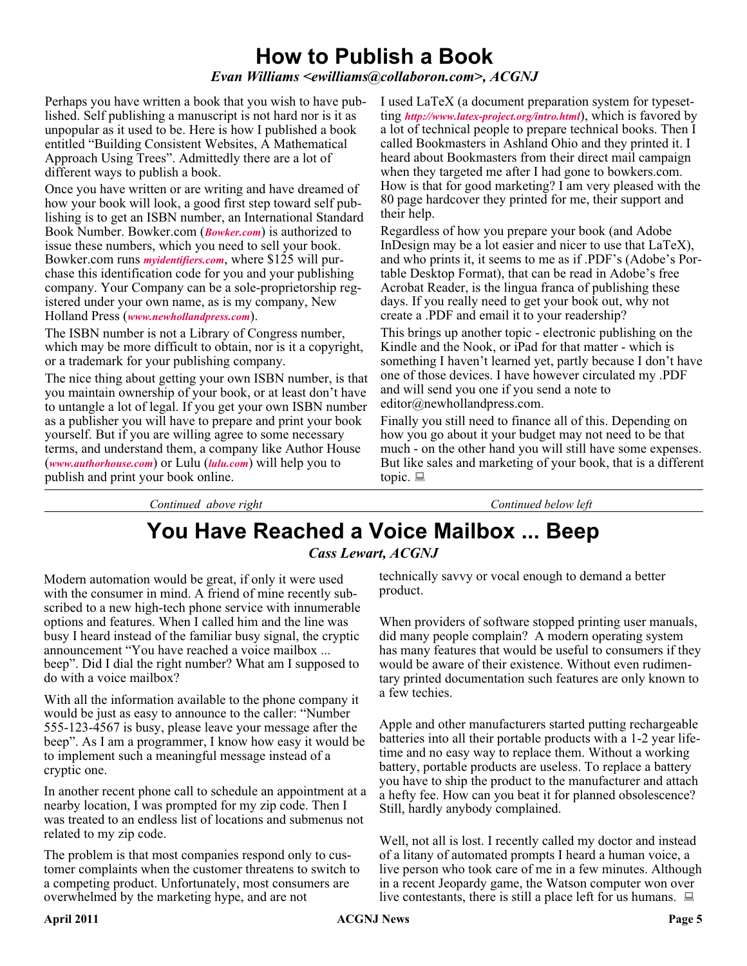# **How to Publish a Book**

*Evan Williams <ewilliams@collaboron.com>, ACGNJ*

Perhaps you have written a book that you wish to have published. Self publishing a manuscript is not hard nor is it as unpopular as it used to be. Here is how I published a book entitled "Building Consistent Websites, A Mathematical Approach Using Trees". Admittedly there are a lot of different ways to publish a book.

Once you have written or are writing and have dreamed of how your book will look, a good first step toward self publishing is to get an ISBN number, an International Standard Book Number. Bowker.com (*[Bowker.com](http://Bowker.com)*) is authorized to issue these numbers, which you need to sell your book. Bowker.com runs *[myidentifiers.com](http://myidentifiers.com)*, where \$125 will purchase this identification code for you and your publishing company. Your Company can be a sole-proprietorship registered under your own name, as is my company, New Holland Press (*[www.newhollandpress.com](http://www.newhollandpress.com)*).

The ISBN number is not a Library of Congress number, which may be more difficult to obtain, nor is it a copyright, or a trademark for your publishing company.

The nice thing about getting your own ISBN number, is that you maintain ownership of your book, or at least don't have to untangle a lot of legal. If you get your own ISBN number as a publisher you will have to prepare and print your book yourself. But if you are willing agree to some necessary terms, and understand them, a company like Author House (*[www.authorhouse.com](http://www.authorhouse.com)*) or Lulu (*[lulu.com](http://lulu.com)*) will help you to publish and print your book online.

I used LaTeX (a document preparation system for typesetting *<http://www.latex-project.org/intro.html>*), which is favored by a lot of technical people to prepare technical books. Then I called Bookmasters in Ashland Ohio and they printed it. I heard about Bookmasters from their direct mail campaign when they targeted me after I had gone to bowkers.com. How is that for good marketing? I am very pleased with the 80 page hardcover they printed for me, their support and their help.

Regardless of how you prepare your book (and Adobe InDesign may be a lot easier and nicer to use that LaTeX), and who prints it, it seems to me as if .PDF's (Adobe's Portable Desktop Format), that can be read in Adobe's free Acrobat Reader, is the lingua franca of publishing these days. If you really need to get your book out, why not create a .PDF and email it to your readership?

This brings up another topic - electronic publishing on the Kindle and the Nook, or iPad for that matter - which is something I haven't learned yet, partly because I don't have one of those devices. I have however circulated my .PDF and will send you one if you send a note to editor@newhollandpress.com.

Finally you still need to finance all of this. Depending on how you go about it your budget may not need to be that much - on the other hand you will still have some expenses. But like sales and marketing of your book, that is a different topic.  $\Box$ 

*Continued above right Continued below left*

# **You Have Reached a Voice Mailbox ... Beep**

*Cass Lewart, ACGNJ*

Modern automation would be great, if only it were used with the consumer in mind. A friend of mine recently subscribed to a new high-tech phone service with innumerable options and features. When I called him and the line was busy I heard instead of the familiar busy signal, the cryptic announcement "You have reached a voice mailbox ... beep". Did I dial the right number? What am I supposed to do with a voice mailbox?

With all the information available to the phone company it would be just as easy to announce to the caller: "Number 555-123-4567 is busy, please leave your message after the beep". As I am a programmer, I know how easy it would be to implement such a meaningful message instead of a cryptic one.

In another recent phone call to schedule an appointment at a nearby location, I was prompted for my zip code. Then I was treated to an endless list of locations and submenus not related to my zip code.

The problem is that most companies respond only to customer complaints when the customer threatens to switch to a competing product. Unfortunately, most consumers are overwhelmed by the marketing hype, and are not

technically savvy or vocal enough to demand a better product.

When providers of software stopped printing user manuals, did many people complain? A modern operating system has many features that would be useful to consumers if they would be aware of their existence. Without even rudimentary printed documentation such features are only known to a few techies.

Apple and other manufacturers started putting rechargeable batteries into all their portable products with a 1-2 year lifetime and no easy way to replace them. Without a working battery, portable products are useless. To replace a battery you have to ship the product to the manufacturer and attach a hefty fee. How can you beat it for planned obsolescence? Still, hardly anybody complained.

Well, not all is lost. I recently called my doctor and instead of a litany of automated prompts I heard a human voice, a live person who took care of me in a few minutes. Although in a recent Jeopardy game, the Watson computer won over live contestants, there is still a place left for us humans.  $\Box$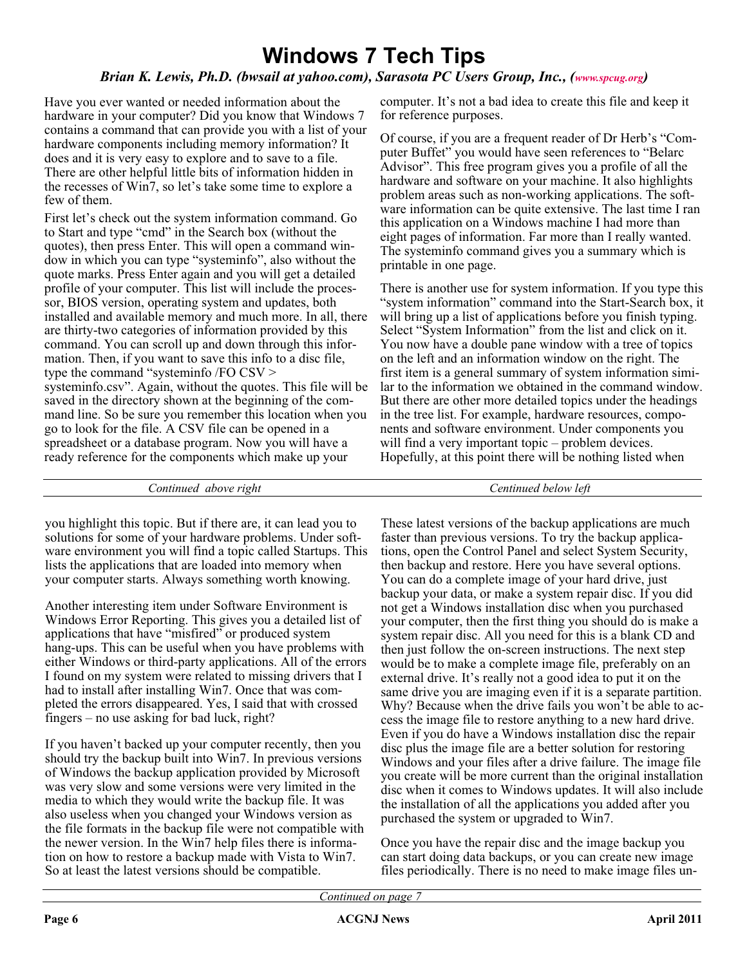# **Windows 7 Tech Tips**

#### *Brian K. Lewis, Ph.D. (bwsail at yahoo.com), Sarasota PC Users Group, Inc., [\(www.spcug.org\)](http://www.spcug.org)*

Have you ever wanted or needed information about the hardware in your computer? Did you know that Windows 7 contains a command that can provide you with a list of your hardware components including memory information? It does and it is very easy to explore and to save to a file. There are other helpful little bits of information hidden in the recesses of Win7, so let's take some time to explore a few of them.

First let's check out the system information command. Go to Start and type "cmd" in the Search box (without the quotes), then press Enter. This will open a command window in which you can type "systeminfo", also without the quote marks. Press Enter again and you will get a detailed profile of your computer. This list will include the processor, BIOS version, operating system and updates, both installed and available memory and much more. In all, there are thirty-two categories of information provided by this command. You can scroll up and down through this information. Then, if you want to save this info to a disc file, type the command "systeminfo /FO CSV > systeminfo.csv". Again, without the quotes. This file will be saved in the directory shown at the beginning of the command line. So be sure you remember this location when you go to look for the file. A CSV file can be opened in a spreadsheet or a database program. Now you will have a ready reference for the components which make up your

computer. It's not a bad idea to create this file and keep it for reference purposes.

Of course, if you are a frequent reader of Dr Herb's "Computer Buffet" you would have seen references to "Belarc Advisor". This free program gives you a profile of all the hardware and software on your machine. It also highlights problem areas such as non-working applications. The software information can be quite extensive. The last time I ran this application on a Windows machine I had more than eight pages of information. Far more than I really wanted. The systeminfo command gives you a summary which is printable in one page.

There is another use for system information. If you type this "system information" command into the Start-Search box, it will bring up a list of applications before you finish typing. Select "System Information" from the list and click on it. You now have a double pane window with a tree of topics on the left and an information window on the right. The first item is a general summary of system information similar to the information we obtained in the command window. But there are other more detailed topics under the headings in the tree list. For example, hardware resources, components and software environment. Under components you will find a very important topic – problem devices. Hopefully, at this point there will be nothing listed when

*Continued above right Centinued below left*

you highlight this topic. But if there are, it can lead you to solutions for some of your hardware problems. Under software environment you will find a topic called Startups. This lists the applications that are loaded into memory when your computer starts. Always something worth knowing.

Another interesting item under Software Environment is Windows Error Reporting. This gives you a detailed list of applications that have "misfired" or produced system hang-ups. This can be useful when you have problems with either Windows or third-party applications. All of the errors I found on my system were related to missing drivers that I had to install after installing Win7. Once that was completed the errors disappeared. Yes, I said that with crossed fingers – no use asking for bad luck, right?

If you haven't backed up your computer recently, then you should try the backup built into Win7. In previous versions of Windows the backup application provided by Microsoft was very slow and some versions were very limited in the media to which they would write the backup file. It was also useless when you changed your Windows version as the file formats in the backup file were not compatible with the newer version. In the Win7 help files there is information on how to restore a backup made with Vista to Win7. So at least the latest versions should be compatible.

These latest versions of the backup applications are much faster than previous versions. To try the backup applications, open the Control Panel and select System Security, then backup and restore. Here you have several options. You can do a complete image of your hard drive, just backup your data, or make a system repair disc. If you did not get a Windows installation disc when you purchased your computer, then the first thing you should do is make a system repair disc. All you need for this is a blank CD and then just follow the on-screen instructions. The next step would be to make a complete image file, preferably on an external drive. It's really not a good idea to put it on the same drive you are imaging even if it is a separate partition. Why? Because when the drive fails you won't be able to access the image file to restore anything to a new hard drive. Even if you do have a Windows installation disc the repair disc plus the image file are a better solution for restoring Windows and your files after a drive failure. The image file you create will be more current than the original installation disc when it comes to Windows updates. It will also include the installation of all the applications you added after you purchased the system or upgraded to Win7.

Once you have the repair disc and the image backup you can start doing data backups, or you can create new image files periodically. There is no need to make image files un-

*Continued on page 7*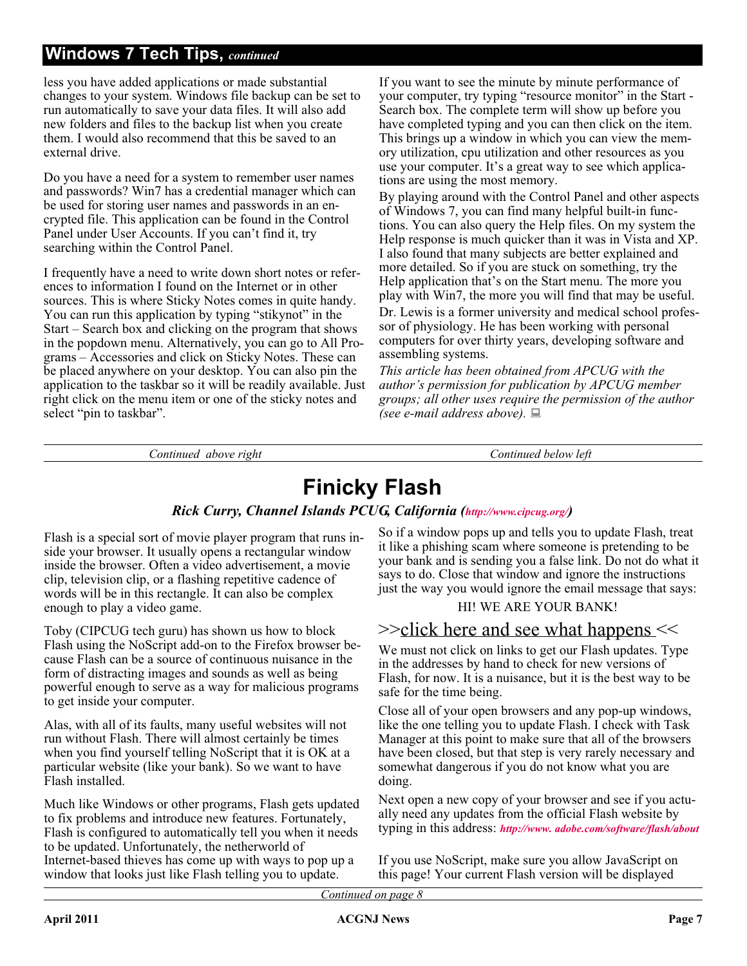## **Windows 7 Tech Tips,** *continued*

less you have added applications or made substantial changes to your system. Windows file backup can be set to run automatically to save your data files. It will also add new folders and files to the backup list when you create them. I would also recommend that this be saved to an external drive.

Do you have a need for a system to remember user names and passwords? Win7 has a credential manager which can be used for storing user names and passwords in an encrypted file. This application can be found in the Control Panel under User Accounts. If you can't find it, try searching within the Control Panel.

I frequently have a need to write down short notes or references to information I found on the Internet or in other sources. This is where Sticky Notes comes in quite handy. You can run this application by typing "stikynot" in the Start – Search box and clicking on the program that shows in the popdown menu. Alternatively, you can go to All Programs – Accessories and click on Sticky Notes. These can be placed anywhere on your desktop. You can also pin the application to the taskbar so it will be readily available. Just right click on the menu item or one of the sticky notes and select "pin to taskbar".

If you want to see the minute by minute performance of your computer, try typing "resource monitor" in the Start - Search box. The complete term will show up before you have completed typing and you can then click on the item. This brings up a window in which you can view the memory utilization, cpu utilization and other resources as you use your computer. It's a great way to see which applications are using the most memory.

By playing around with the Control Panel and other aspects of Windows 7, you can find many helpful built-in functions. You can also query the Help files. On my system the Help response is much quicker than it was in Vista and XP. I also found that many subjects are better explained and more detailed. So if you are stuck on something, try the Help application that's on the Start menu. The more you play with Win7, the more you will find that may be useful. Dr. Lewis is a former university and medical school professor of physiology. He has been working with personal computers for over thirty years, developing software and assembling systems.

*This article has been obtained from APCUG with the author's permission for publication by APCUG member groups; all other uses require the permission of the author (see e-mail address above).*

*Continued above right Continued below left*

# **Finicky Flash**

### *Rick Curry, Channel Islands PCUG, California ([http://www.cipcug.org/\)](http://www.cipcug.org/)*

Flash is a special sort of movie player program that runs inside your browser. It usually opens a rectangular window inside the browser. Often a video advertisement, a movie clip, television clip, or a flashing repetitive cadence of words will be in this rectangle. It can also be complex enough to play a video game.

Toby (CIPCUG tech guru) has shown us how to block Flash using the NoScript add-on to the Firefox browser because Flash can be a source of continuous nuisance in the form of distracting images and sounds as well as being powerful enough to serve as a way for malicious programs to get inside your computer.

Alas, with all of its faults, many useful websites will not run without Flash. There will almost certainly be times when you find yourself telling NoScript that it is OK at a particular website (like your bank). So we want to have Flash installed.

Much like Windows or other programs, Flash gets updated to fix problems and introduce new features. Fortunately, Flash is configured to automatically tell you when it needs to be updated. Unfortunately, the netherworld of Internet-based thieves has come up with ways to pop up a window that looks just like Flash telling you to update.

So if a window pops up and tells you to update Flash, treat it like a phishing scam where someone is pretending to be your bank and is sending you a false link. Do not do what it says to do. Close that window and ignore the instructions just the way you would ignore the email message that says:

## HI! WE ARE YOUR BANK!

## >>click here and see what happens <<

We must not click on links to get our Flash updates. Type in the addresses by hand to check for new versions of Flash, for now. It is a nuisance, but it is the best way to be safe for the time being.

Close all of your open browsers and any pop-up windows, like the one telling you to update Flash. I check with Task Manager at this point to make sure that all of the browsers have been closed, but that step is very rarely necessary and somewhat dangerous if you do not know what you are doing.

Next open a new copy of your browser and see if you actually need any updates from the official Flash website by typing in this address: *[http://www. adobe.com/software/flash/about](http://www. adobe.com/software/flash/about )*

If you use NoScript, make sure you allow JavaScript on this page! Your current Flash version will be displayed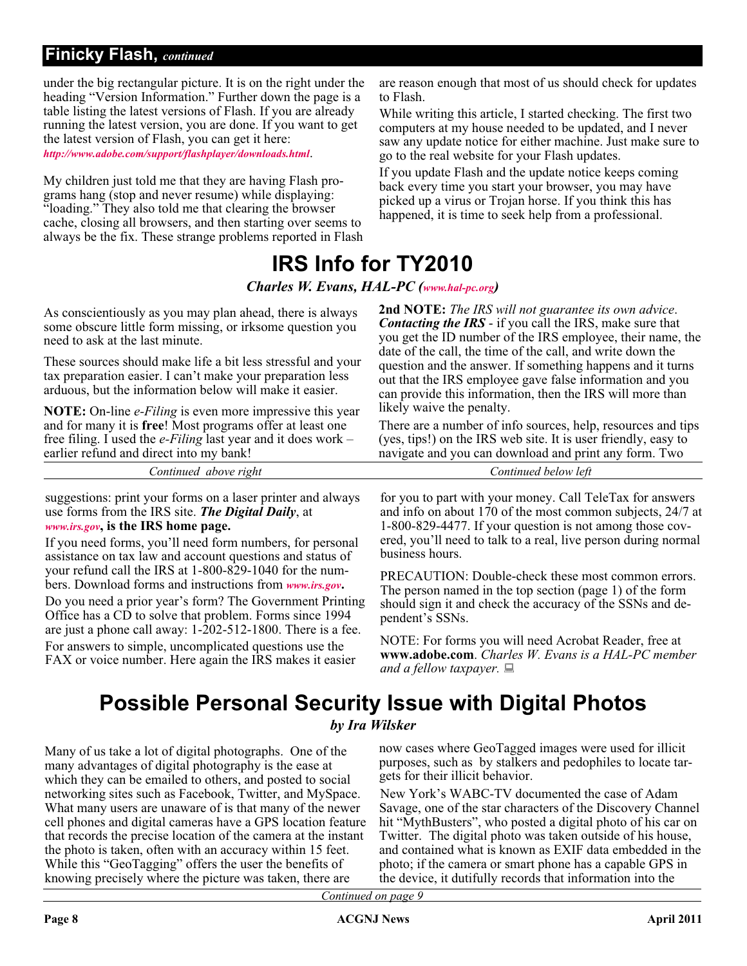## **Finicky Flash,** *continued*

under the big rectangular picture. It is on the right under the heading "Version Information." Further down the page is a table listing the latest versions of Flash. If you are already running the latest version, you are done. If you want to get the latest version of Flash, you can get it here: *<http://www.adobe.com/support/flashplayer/downloads.html>*.

My children just told me that they are having Flash programs hang (stop and never resume) while displaying: "loading." They also told me that clearing the browser cache, closing all browsers, and then starting over seems to always be the fix. These strange problems reported in Flash are reason enough that most of us should check for updates to Flash.

While writing this article, I started checking. The first two computers at my house needed to be updated, and I never saw any update notice for either machine. Just make sure to go to the real website for your Flash updates.

If you update Flash and the update notice keeps coming back every time you start your browser, you may have picked up a virus or Trojan horse. If you think this has happened, it is time to seek help from a professional.

# **IRS Info for TY2010**

*Charles W. Evans, HAL-PC [\(www.hal-pc.org](http://www.hal-pc.org))*

As conscientiously as you may plan ahead, there is always some obscure little form missing, or irksome question you need to ask at the last minute.

These sources should make life a bit less stressful and your tax preparation easier. I can't make your preparation less arduous, but the information below will make it easier.

**NOTE:** On-line *e-Filing* is even more impressive this year and for many it is **free**! Most programs offer at least one free filing. I used the *e-Filing* last year and it does work – earlier refund and direct into my bank!

*Continued above right Continued below left*

suggestions: print your forms on a laser printer and always use forms from the IRS site. *The Digital Daily*, at *[www.irs.gov](http://www.irs.gov)***, is the IRS home page.**

If you need forms, you'll need form numbers, for personal assistance on tax law and account questions and status of your refund call the IRS at 1-800-829-1040 for the numbers. Download forms and instructions from *[www.irs.gov](http://www.irs.gov)***.** Do you need a prior year's form? The Government Printing Office has a CD to solve that problem. Forms since 1994 are just a phone call away: 1-202-512-1800. There is a fee. For answers to simple, uncomplicated questions use the FAX or voice number. Here again the IRS makes it easier

**2nd NOTE:** *The IRS will not guarantee its own advice*. *Contacting the IRS* - if you call the IRS, make sure that you get the ID number of the IRS employee, their name, the date of the call, the time of the call, and write down the question and the answer. If something happens and it turns out that the IRS employee gave false information and you can provide this information, then the IRS will more than likely waive the penalty.

There are a number of info sources, help, resources and tips (yes, tips!) on the IRS web site. It is user friendly, easy to navigate and you can download and print any form. Two

for you to part with your money. Call TeleTax for answers and info on about 170 of the most common subjects, 24/7 at 1-800-829-4477. If your question is not among those covered, you'll need to talk to a real, live person during normal business hours.

PRECAUTION: Double-check these most common errors. The person named in the top section (page 1) of the form should sign it and check the accuracy of the SSNs and dependent's SSNs.

NOTE: For forms you will need Acrobat Reader, free at **www.adobe.com**. *Charles W. Evans is a HAL-PC member and a fellow taxpayer.*

# **Possible Personal Security Issue with Digital Photos**

*by Ira Wilsker*

Many of us take a lot of digital photographs. One of the many advantages of digital photography is the ease at which they can be emailed to others, and posted to social networking sites such as Facebook, Twitter, and MySpace. What many users are unaware of is that many of the newer cell phones and digital cameras have a GPS location feature that records the precise location of the camera at the instant the photo is taken, often with an accuracy within 15 feet. While this "GeoTagging" offers the user the benefits of knowing precisely where the picture was taken, there are

now cases where GeoTagged images were used for illicit purposes, such as by stalkers and pedophiles to locate targets for their illicit behavior.

New York's WABC-TV documented the case of Adam Savage, one of the star characters of the Discovery Channel hit "MythBusters", who posted a digital photo of his car on Twitter. The digital photo was taken outside of his house, and contained what is known as EXIF data embedded in the photo; if the camera or smart phone has a capable GPS in the device, it dutifully records that information into the

*Continued on page 9*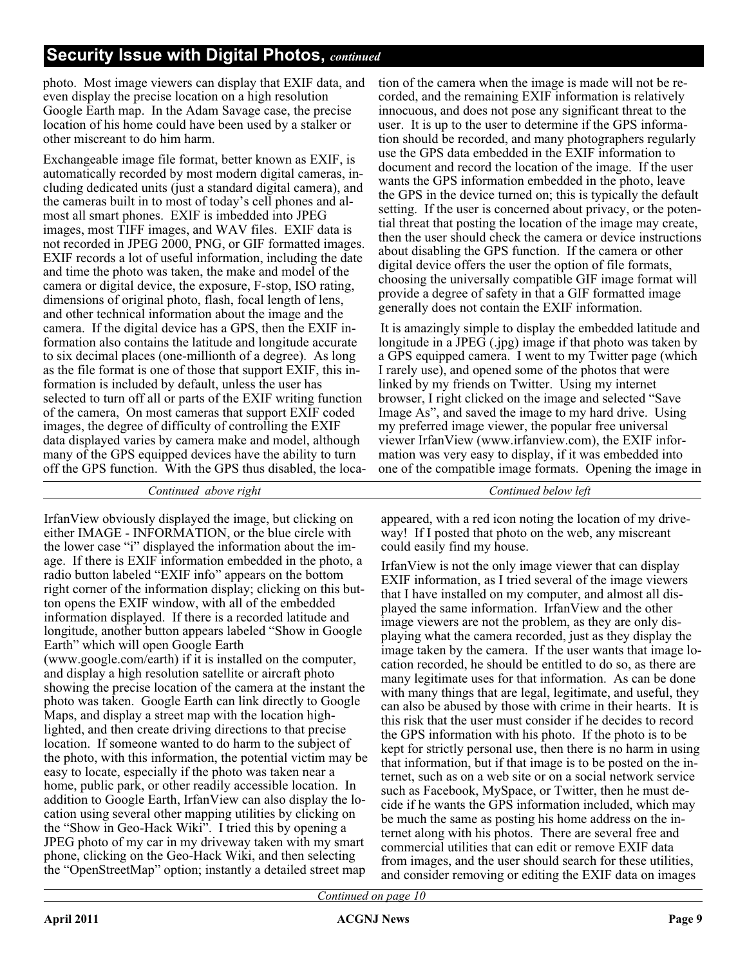## **Security Issue with Digital Photos,** *continued*

photo. Most image viewers can display that EXIF data, and even display the precise location on a high resolution Google Earth map. In the Adam Savage case, the precise location of his home could have been used by a stalker or other miscreant to do him harm.

Exchangeable image file format, better known as EXIF, is automatically recorded by most modern digital cameras, including dedicated units (just a standard digital camera), and the cameras built in to most of today's cell phones and almost all smart phones. EXIF is imbedded into JPEG images, most TIFF images, and WAV files. EXIF data is not recorded in JPEG 2000, PNG, or GIF formatted images. EXIF records a lot of useful information, including the date and time the photo was taken, the make and model of the camera or digital device, the exposure, F-stop, ISO rating, dimensions of original photo, flash, focal length of lens, and other technical information about the image and the camera. If the digital device has a GPS, then the EXIF information also contains the latitude and longitude accurate to six decimal places (one-millionth of a degree). As long as the file format is one of those that support EXIF, this information is included by default, unless the user has selected to turn off all or parts of the EXIF writing function of the camera, On most cameras that support EXIF coded images, the degree of difficulty of controlling the EXIF data displayed varies by camera make and model, although many of the GPS equipped devices have the ability to turn off the GPS function. With the GPS thus disabled, the location of the camera when the image is made will not be recorded, and the remaining EXIF information is relatively innocuous, and does not pose any significant threat to the user. It is up to the user to determine if the GPS information should be recorded, and many photographers regularly use the GPS data embedded in the EXIF information to document and record the location of the image. If the user wants the GPS information embedded in the photo, leave the GPS in the device turned on; this is typically the default setting. If the user is concerned about privacy, or the potential threat that posting the location of the image may create, then the user should check the camera or device instructions about disabling the GPS function. If the camera or other digital device offers the user the option of file formats, choosing the universally compatible GIF image format will provide a degree of safety in that a GIF formatted image generally does not contain the EXIF information.

It is amazingly simple to display the embedded latitude and longitude in a JPEG (.jpg) image if that photo was taken by a GPS equipped camera. I went to my Twitter page (which I rarely use), and opened some of the photos that were linked by my friends on Twitter. Using my internet browser, I right clicked on the image and selected "Save Image As", and saved the image to my hard drive. Using my preferred image viewer, the popular free universal viewer IrfanView (www.irfanview.com), the EXIF information was very easy to display, if it was embedded into one of the compatible image formats. Opening the image in

*Continued above right Continued below left*

IrfanView obviously displayed the image, but clicking on either IMAGE - INFORMATION, or the blue circle with the lower case "i" displayed the information about the image. If there is EXIF information embedded in the photo, a radio button labeled "EXIF info" appears on the bottom right corner of the information display; clicking on this button opens the EXIF window, with all of the embedded information displayed. If there is a recorded latitude and longitude, another button appears labeled "Show in Google Earth" which will open Google Earth (www.google.com/earth) if it is installed on the computer, and display a high resolution satellite or aircraft photo showing the precise location of the camera at the instant the photo was taken. Google Earth can link directly to Google Maps, and display a street map with the location highlighted, and then create driving directions to that precise location. If someone wanted to do harm to the subject of the photo, with this information, the potential victim may be easy to locate, especially if the photo was taken near a home, public park, or other readily accessible location. In addition to Google Earth, IrfanView can also display the location using several other mapping utilities by clicking on the "Show in Geo-Hack Wiki". I tried this by opening a JPEG photo of my car in my driveway taken with my smart phone, clicking on the Geo-Hack Wiki, and then selecting the "OpenStreetMap" option; instantly a detailed street map

appeared, with a red icon noting the location of my driveway! If I posted that photo on the web, any miscreant could easily find my house.

IrfanView is not the only image viewer that can display EXIF information, as I tried several of the image viewers that I have installed on my computer, and almost all displayed the same information. IrfanView and the other image viewers are not the problem, as they are only displaying what the camera recorded, just as they display the image taken by the camera. If the user wants that image location recorded, he should be entitled to do so, as there are many legitimate uses for that information. As can be done with many things that are legal, legitimate, and useful, they can also be abused by those with crime in their hearts. It is this risk that the user must consider if he decides to record the GPS information with his photo. If the photo is to be kept for strictly personal use, then there is no harm in using that information, but if that image is to be posted on the internet, such as on a web site or on a social network service such as Facebook, MySpace, or Twitter, then he must decide if he wants the GPS information included, which may be much the same as posting his home address on the internet along with his photos. There are several free and commercial utilities that can edit or remove EXIF data from images, and the user should search for these utilities, and consider removing or editing the EXIF data on images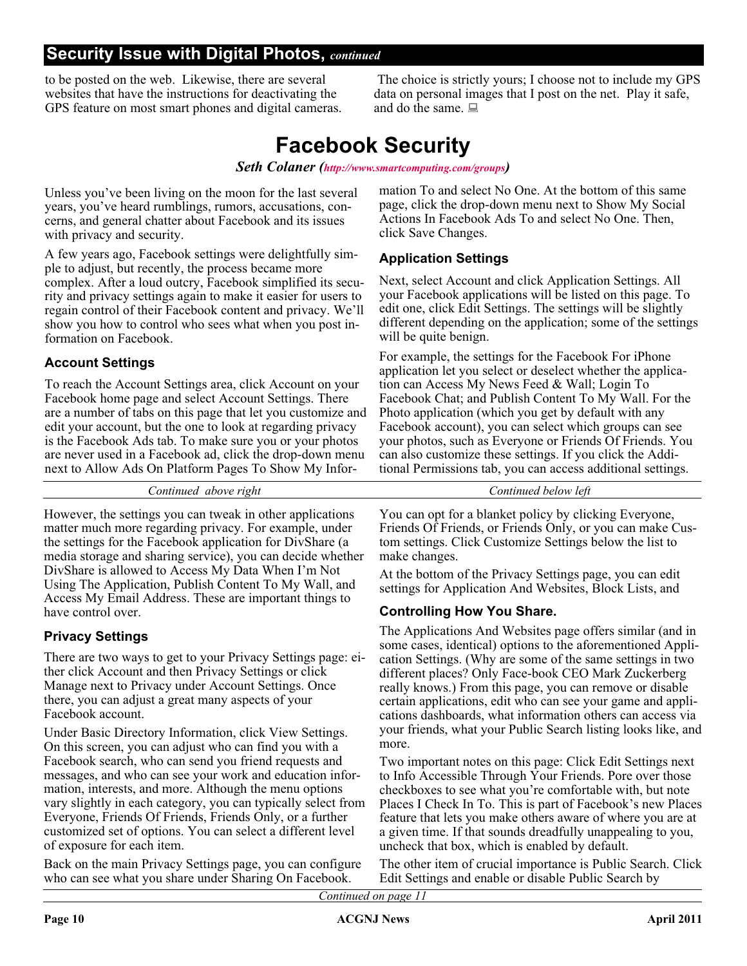## **Security Issue with Digital Photos,** *continued*

to be posted on the web. Likewise, there are several websites that have the instructions for deactivating the GPS feature on most smart phones and digital cameras.

The choice is strictly yours; I choose not to include my GPS data on personal images that I post on the net. Play it safe, and do the same.

# **Facebook Security**

*Seth Colaner (<http://www.smartcomputing.com/groups>)*

Unless you've been living on the moon for the last several years, you've heard rumblings, rumors, accusations, concerns, and general chatter about Facebook and its issues with privacy and security.

A few years ago, Facebook settings were delightfully simple to adjust, but recently, the process became more complex. After a loud outcry, Facebook simplified its security and privacy settings again to make it easier for users to regain control of their Facebook content and privacy. We'll show you how to control who sees what when you post information on Facebook.

### **Account Settings**

To reach the Account Settings area, click Account on your Facebook home page and select Account Settings. There are a number of tabs on this page that let you customize and edit your account, but the one to look at regarding privacy is the Facebook Ads tab. To make sure you or your photos are never used in a Facebook ad, click the drop-down menu next to Allow Ads On Platform Pages To Show My Infor-

*Continued above right Continued below left*

However, the settings you can tweak in other applications matter much more regarding privacy. For example, under the settings for the Facebook application for DivShare (a media storage and sharing service), you can decide whether DivShare is allowed to Access My Data When I'm Not Using The Application, Publish Content To My Wall, and Access My Email Address. These are important things to have control over.

## **Privacy Settings**

There are two ways to get to your Privacy Settings page: either click Account and then Privacy Settings or click Manage next to Privacy under Account Settings. Once there, you can adjust a great many aspects of your Facebook account.

Under Basic Directory Information, click View Settings. On this screen, you can adjust who can find you with a Facebook search, who can send you friend requests and messages, and who can see your work and education information, interests, and more. Although the menu options vary slightly in each category, you can typically select from Everyone, Friends Of Friends, Friends Only, or a further customized set of options. You can select a different level of exposure for each item.

Back on the main Privacy Settings page, you can configure who can see what you share under Sharing On Facebook.

mation To and select No One. At the bottom of this same page, click the drop-down menu next to Show My Social Actions In Facebook Ads To and select No One. Then, click Save Changes.

### **Application Settings**

Next, select Account and click Application Settings. All your Facebook applications will be listed on this page. To edit one, click Edit Settings. The settings will be slightly different depending on the application; some of the settings will be quite benign.

For example, the settings for the Facebook For iPhone application let you select or deselect whether the application can Access My News Feed & Wall; Login To Facebook Chat; and Publish Content To My Wall. For the Photo application (which you get by default with any Facebook account), you can select which groups can see your photos, such as Everyone or Friends Of Friends. You can also customize these settings. If you click the Additional Permissions tab, you can access additional settings.

You can opt for a blanket policy by clicking Everyone, Friends Of Friends, or Friends Only, or you can make Custom settings. Click Customize Settings below the list to make changes.

At the bottom of the Privacy Settings page, you can edit settings for Application And Websites, Block Lists, and

### **Controlling How You Share.**

The Applications And Websites page offers similar (and in some cases, identical) options to the aforementioned Application Settings. (Why are some of the same settings in two different places? Only Face-book CEO Mark Zuckerberg really knows.) From this page, you can remove or disable certain applications, edit who can see your game and applications dashboards, what information others can access via your friends, what your Public Search listing looks like, and more.

Two important notes on this page: Click Edit Settings next to Info Accessible Through Your Friends. Pore over those checkboxes to see what you're comfortable with, but note Places I Check In To. This is part of Facebook's new Places feature that lets you make others aware of where you are at a given time. If that sounds dreadfully unappealing to you, uncheck that box, which is enabled by default.

The other item of crucial importance is Public Search. Click Edit Settings and enable or disable Public Search by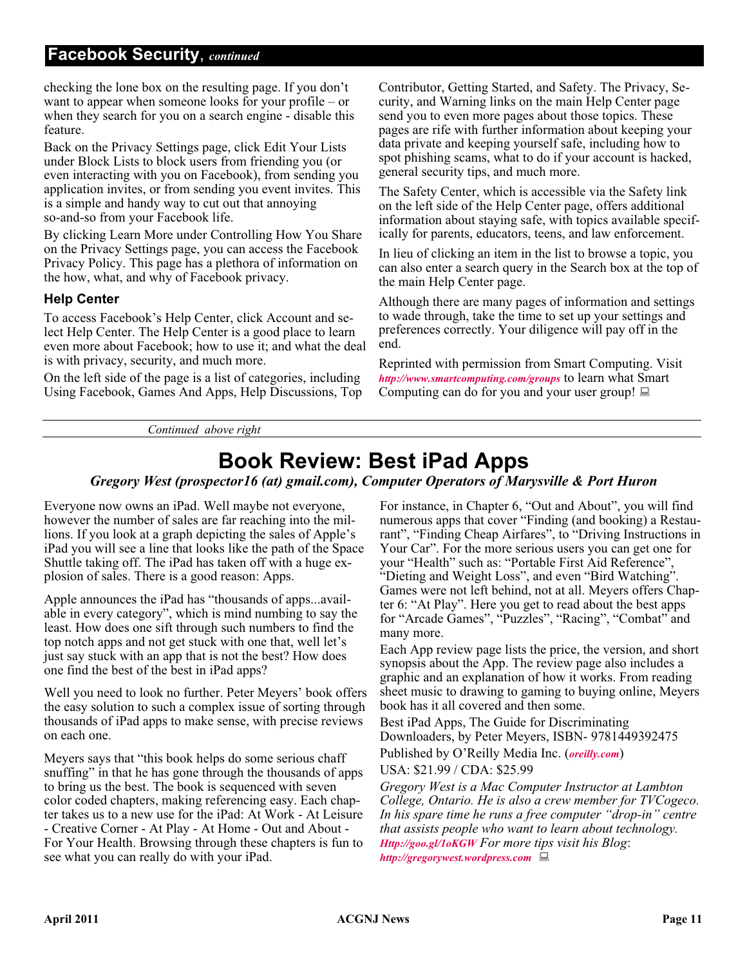## **Facebook Security**, *continued*

checking the lone box on the resulting page. If you don't want to appear when someone looks for your profile – or when they search for you on a search engine - disable this feature.

Back on the Privacy Settings page, click Edit Your Lists under Block Lists to block users from friending you (or even interacting with you on Facebook), from sending you application invites, or from sending you event invites. This is a simple and handy way to cut out that annoying so-and-so from your Facebook life.

By clicking Learn More under Controlling How You Share on the Privacy Settings page, you can access the Facebook Privacy Policy. This page has a plethora of information on the how, what, and why of Facebook privacy.

#### **Help Center**

To access Facebook's Help Center, click Account and select Help Center. The Help Center is a good place to learn even more about Facebook; how to use it; and what the deal is with privacy, security, and much more.

On the left side of the page is a list of categories, including Using Facebook, Games And Apps, Help Discussions, Top Contributor, Getting Started, and Safety. The Privacy, Security, and Warning links on the main Help Center page send you to even more pages about those topics. These pages are rife with further information about keeping your data private and keeping yourself safe, including how to spot phishing scams, what to do if your account is hacked, general security tips, and much more.

The Safety Center, which is accessible via the Safety link on the left side of the Help Center page, offers additional information about staying safe, with topics available specifically for parents, educators, teens, and law enforcement.

In lieu of clicking an item in the list to browse a topic, you can also enter a search query in the Search box at the top of the main Help Center page.

Although there are many pages of information and settings to wade through, take the time to set up your settings and preferences correctly. Your diligence will pay off in the end.

Reprinted with permission from Smart Computing. Visit *<http://www.smartcomputing.com/groups>* to learn what Smart Computing can do for you and your user group!  $\Box$ 

*Continued above right*

# **Book Review: Best iPad Apps**

*Gregory West (prospector16 (at) gmail.com), Computer Operators of Marysville & Port Huron*

Everyone now owns an iPad. Well maybe not everyone, however the number of sales are far reaching into the millions. If you look at a graph depicting the sales of Apple's iPad you will see a line that looks like the path of the Space Shuttle taking off. The iPad has taken off with a huge explosion of sales. There is a good reason: Apps.

Apple announces the iPad has "thousands of apps...available in every category", which is mind numbing to say the least. How does one sift through such numbers to find the top notch apps and not get stuck with one that, well let's just say stuck with an app that is not the best? How does one find the best of the best in iPad apps?

Well you need to look no further. Peter Meyers' book offers the easy solution to such a complex issue of sorting through thousands of iPad apps to make sense, with precise reviews on each one.

Meyers says that "this book helps do some serious chaff snuffing" in that he has gone through the thousands of apps to bring us the best. The book is sequenced with seven color coded chapters, making referencing easy. Each chapter takes us to a new use for the iPad: At Work - At Leisure - Creative Corner - At Play - At Home - Out and About - For Your Health. Browsing through these chapters is fun to see what you can really do with your iPad.

For instance, in Chapter 6, "Out and About", you will find numerous apps that cover "Finding (and booking) a Restaurant", "Finding Cheap Airfares", to "Driving Instructions in Your Car". For the more serious users you can get one for your "Health" such as: "Portable First Aid Reference", "Dieting and Weight Loss", and even "Bird Watching". Games were not left behind, not at all. Meyers offers Chapter 6: "At Play". Here you get to read about the best apps for "Arcade Games", "Puzzles", "Racing", "Combat" and many more.

Each App review page lists the price, the version, and short synopsis about the App. The review page also includes a graphic and an explanation of how it works. From reading sheet music to drawing to gaming to buying online, Meyers book has it all covered and then some.

Best iPad Apps, The Guide for Discriminating Downloaders, by Peter Meyers, ISBN- 9781449392475 Published by O'Reilly Media Inc. (*[oreilly.com](http:// :)*)

USA: \$21.99 / CDA: \$25.99

*Gregory West is a Mac Computer Instructor at Lambton College, Ontario. He is also a crew member for TVCogeco. In his spare time he runs a free computer "drop-in" centre that assists people who want to learn about technology. <Http://goo.gl/1oKGW> For more tips visit his Blog*: *<http://gregorywest.wordpress.com>*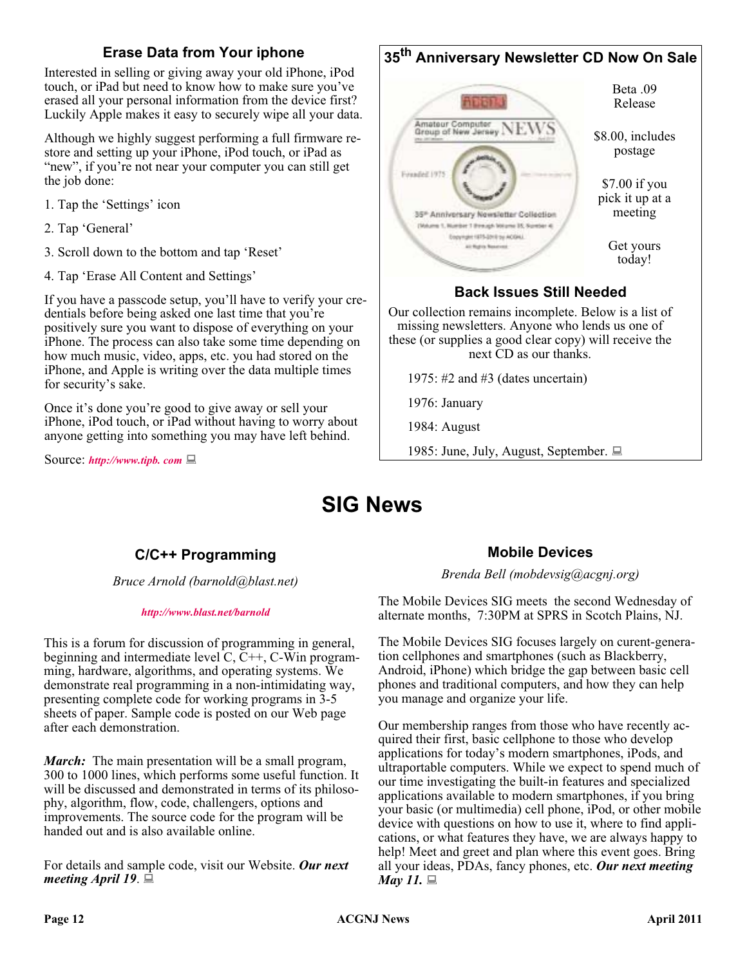### **Erase Data from Your iphone**

Interested in selling or giving away your old iPhone, iPod touch, or iPad but need to know how to make sure you've erased all your personal information from the device first? Luckily Apple makes it easy to securely wipe all your data.

Although we highly suggest performing a full firmware restore and setting up your iPhone, iPod touch, or iPad as "new", if you're not near your computer you can still get the job done:

- 1. Tap the 'Settings' icon
- 2. Tap 'General'
- 3. Scroll down to the bottom and tap 'Reset'
- 4. Tap 'Erase All Content and Settings'

If you have a passcode setup, you'll have to verify your credentials before being asked one last time that you're positively sure you want to dispose of everything on your iPhone. The process can also take some time depending on how much music, video, apps, etc. you had stored on the iPhone, and Apple is writing over the data multiple times for security's sake.

Once it's done you're good to give away or sell your iPhone, iPod touch, or iPad without having to worry about anyone getting into something you may have left behind.

Source: *<http://www.tipb. com>*



1975: #2 and #3 (dates uncertain)

1976: January

1984: August

1985: June, July, August, September.

# **SIG News**

## **C/C++ Programming**

*Bruce Arnold (barnold@blast.net)*

#### *<http://www.blast.net/barnold>*

This is a forum for discussion of programming in general, beginning and intermediate level C, C++, C-Win programming, hardware, algorithms, and operating systems. We demonstrate real programming in a non-intimidating way, presenting complete code for working programs in 3-5 sheets of paper. Sample code is posted on our Web page after each demonstration.

*March:* The main presentation will be a small program, 300 to 1000 lines, which performs some useful function. It will be discussed and demonstrated in terms of its philosophy, algorithm, flow, code, challengers, options and improvements. The source code for the program will be handed out and is also available online.

For details and sample code, visit our Website. *Our next meeting April 19*.

### **Mobile Devices**

*Brenda Bell (mobdevsig@acgnj.org)*

The Mobile Devices SIG meets the second Wednesday of alternate months, 7:30PM at SPRS in Scotch Plains, NJ.

The Mobile Devices SIG focuses largely on curent-generation cellphones and smartphones (such as Blackberry, Android, iPhone) which bridge the gap between basic cell phones and traditional computers, and how they can help you manage and organize your life.

Our membership ranges from those who have recently acquired their first, basic cellphone to those who develop applications for today's modern smartphones, iPods, and ultraportable computers. While we expect to spend much of our time investigating the built-in features and specialized applications available to modern smartphones, if you bring your basic (or multimedia) cell phone, iPod, or other mobile device with questions on how to use it, where to find applications, or what features they have, we are always happy to help! Meet and greet and plan where this event goes. Bring all your ideas, PDAs, fancy phones, etc. *Our next meeting May 11.* ■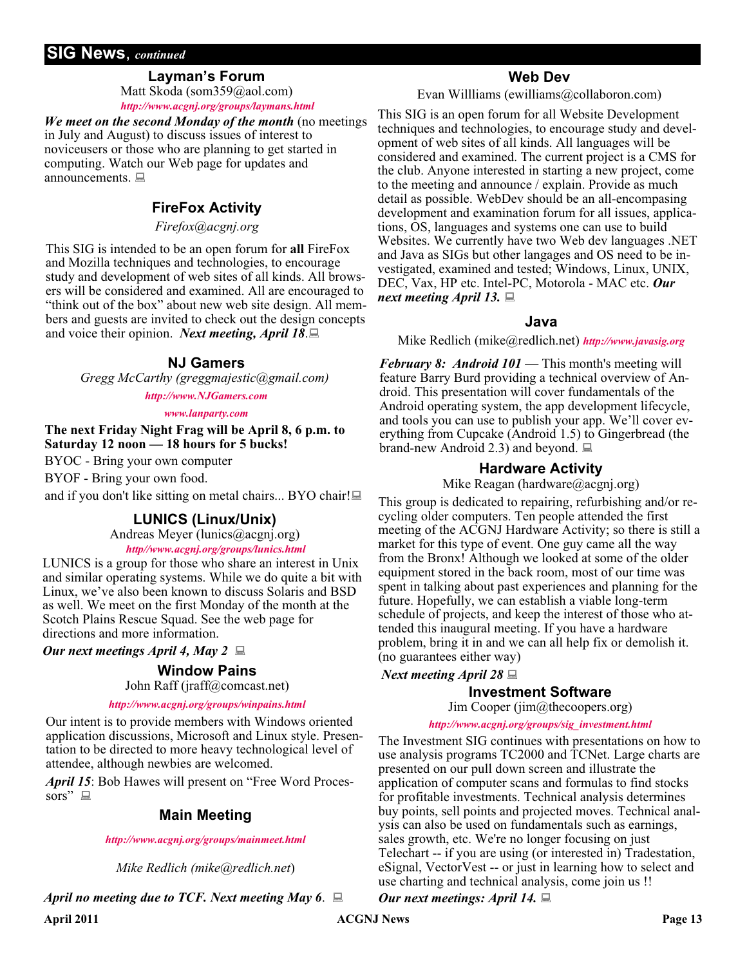### **SIG News**, *continued*

### **Layman's Forum**

Matt Skoda (som359@aol.com) *<http://www.acgnj.org/groups/laymans.html>*

*We meet on the second Monday of the month* (no meetings in July and August) to discuss issues of interest to noviceusers or those who are planning to get started in computing. Watch our Web page for updates and announcements.  $\Box$ 

## **FireFox Activity**

*Firefox@acgnj.org*

This SIG is intended to be an open forum for **all** FireFox and Mozilla techniques and technologies, to encourage study and development of web sites of all kinds. All browsers will be considered and examined. All are encouraged to "think out of the box" about new web site design. All members and guests are invited to check out the design concepts and voice their opinion. *Next meeting, April 18*.

#### **NJ Gamers**

*Gregg McCarthy (greggmajestic@gmail.com)*

*<http://www.NJGamers.com>*

*[www.lanparty.com](http://www.lanparty.com)*

**The next Friday Night Frag will be April 8, 6 p.m. to Saturday 12 noon — 18 hours for 5 bucks!**

BYOC - Bring your own computer

BYOF - Bring your own food.

and if you don't like sitting on metal chairs... BYO chair!

#### **LUNICS (Linux/Unix)**

Andreas Meyer (lunics@acgnj.org)

*<http//www.acgnj.org/groups/lunics.html>*

LUNICS is a group for those who share an interest in Unix and similar operating systems. While we do quite a bit with Linux, we've also been known to discuss Solaris and BSD as well. We meet on the first Monday of the month at the Scotch Plains Rescue Squad. See the web page for directions and more information.

#### *Our next meetings April 4, May 2*

#### **Window Pains**

John Raff (jraff@comcast.net)

#### *<http://www.acgnj.org/groups/winpains.html>*

Our intent is to provide members with Windows oriented application discussions, Microsoft and Linux style. Presentation to be directed to more heavy technological level of attendee, although newbies are welcomed.

*April 15*: Bob Hawes will present on "Free Word Processors"  $\Box$ 

### **Main Meeting**

#### *<http://www.acgnj.org/groups/mainmeet.html>*

*Mike Redlich (mike@redlich.net*)

*April no meeting due to TCF. Next meeting May 6*.

### **Web Dev**

Evan Willliams (ewilliams@collaboron.com)

This SIG is an open forum for all Website Development techniques and technologies, to encourage study and development of web sites of all kinds. All languages will be considered and examined. The current project is a CMS for the club. Anyone interested in starting a new project, come to the meeting and announce / explain. Provide as much detail as possible. WebDev should be an all-encompasing development and examination forum for all issues, applications, OS, languages and systems one can use to build Websites. We currently have two Web dev languages .NET and Java as SIGs but other langages and OS need to be investigated, examined and tested; Windows, Linux, UNIX, DEC, Vax, HP etc. Intel-PC, Motorola - MAC etc. *Our next meeting April 13.*

#### **Java**

Mike Redlich (mike@redlich.net) *<http://www.javasig.org>*

*February 8: Android 101 —* This month's meeting will feature Barry Burd providing a technical overview of Android. This presentation will cover fundamentals of the Android operating system, the app development lifecycle, and tools you can use to publish your app. We'll cover everything from Cupcake (Android 1.5) to Gingerbread (the brand-new Android 2.3) and beyond.  $\Box$ 

#### **Hardware Activity**

Mike Reagan (hardware@acgnj.org)

This group is dedicated to repairing, refurbishing and/or recycling older computers. Ten people attended the first meeting of the ACGNJ Hardware Activity; so there is still a market for this type of event. One guy came all the way from the Bronx! Although we looked at some of the older equipment stored in the back room, most of our time was spent in talking about past experiences and planning for the future. Hopefully, we can establish a viable long-term schedule of projects, and keep the interest of those who attended this inaugural meeting. If you have a hardware problem, bring it in and we can all help fix or demolish it. (no guarantees either way)

*Next meeting April 28*

#### **Investment Software**

Jim Cooper (jim@thecoopers.org)

#### *[http://www.acgnj.org/groups/sig\\_investment.html](http://www.acgnj.org/groups/sig_investment.html)*

The Investment SIG continues with presentations on how to use analysis programs TC2000 and TCNet. Large charts are presented on our pull down screen and illustrate the application of computer scans and formulas to find stocks for profitable investments. Technical analysis determines buy points, sell points and projected moves. Technical analysis can also be used on fundamentals such as earnings, sales growth, etc. We're no longer focusing on just Telechart -- if you are using (or interested in) Tradestation, eSignal, VectorVest -- or just in learning how to select and use charting and technical analysis, come join us !!

*Our next meetings: April 14.*

April 2011 **Page 13 ACGNJ News** Page 13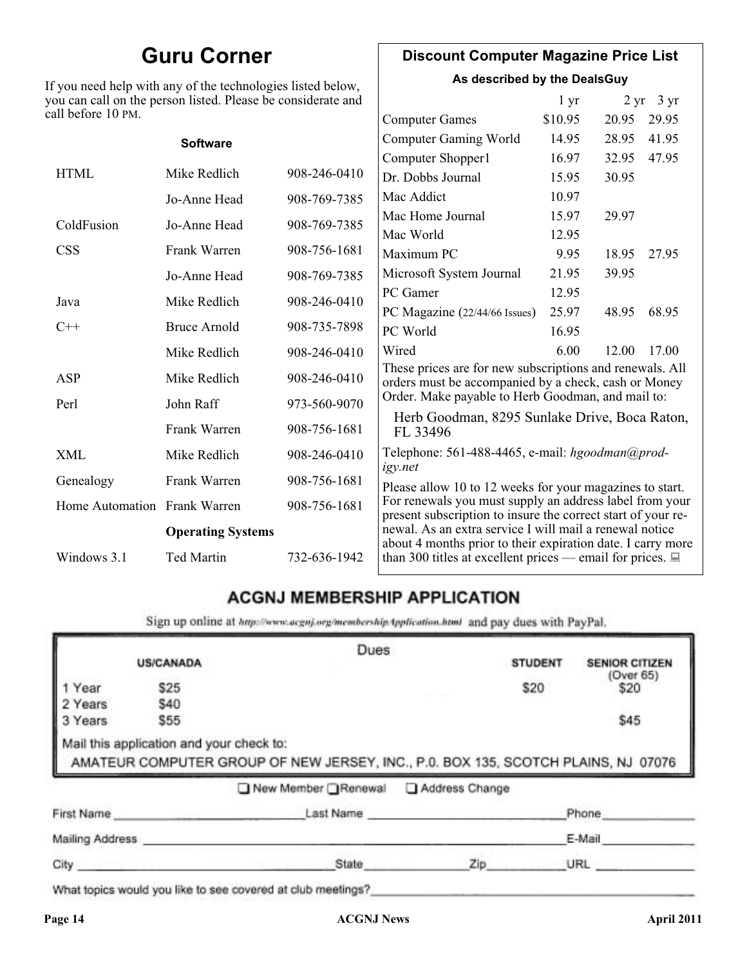# **Guru Corner**

If you need help with any of the technologies listed below, you can call on the person listed. Please be considerate and ca

## **Discount Computer Magazine Price List**

**As described by the DealsGuy**

| ou can call on the person listed. Please be considerate and<br>ll before 10 PM. |                          |              |                                                                                                                         | 1 <sub>yr</sub> |       | $2 \text{ yr}$ 3 yr |
|---------------------------------------------------------------------------------|--------------------------|--------------|-------------------------------------------------------------------------------------------------------------------------|-----------------|-------|---------------------|
|                                                                                 |                          |              | <b>Computer Games</b>                                                                                                   | \$10.95         | 20.95 | 29.95               |
|                                                                                 | <b>Software</b>          |              | <b>Computer Gaming World</b>                                                                                            | 14.95           | 28.95 | 41.95               |
|                                                                                 |                          |              | Computer Shopper1                                                                                                       | 16.97           | 32.95 | 47.95               |
| <b>HTML</b>                                                                     | Mike Redlich             | 908-246-0410 | Dr. Dobbs Journal                                                                                                       | 15.95           | 30.95 |                     |
|                                                                                 | Jo-Anne Head             | 908-769-7385 | Mac Addict                                                                                                              | 10.97           |       |                     |
| ColdFusion                                                                      | Jo-Anne Head             | 908-769-7385 | Mac Home Journal                                                                                                        | 15.97           | 29.97 |                     |
|                                                                                 |                          |              | Mac World                                                                                                               | 12.95           |       |                     |
| <b>CSS</b>                                                                      | Frank Warren             | 908-756-1681 | Maximum PC                                                                                                              | 9.95            | 18.95 | 27.95               |
|                                                                                 | Jo-Anne Head             | 908-769-7385 | Microsoft System Journal                                                                                                | 21.95           | 39.95 |                     |
| Java                                                                            | Mike Redlich             | 908-246-0410 | PC Gamer                                                                                                                | 12.95           |       |                     |
|                                                                                 |                          |              | PC Magazine (22/44/66 Issues)                                                                                           | 25.97           | 48.95 | 68.95               |
| $C++$                                                                           | <b>Bruce Arnold</b>      | 908-735-7898 | PC World                                                                                                                | 16.95           |       |                     |
|                                                                                 | Mike Redlich             | 908-246-0410 | Wired                                                                                                                   | 6.00            | 12.00 | 17.00               |
| ASP                                                                             | Mike Redlich             | 908-246-0410 | These prices are for new subscriptions and renewals. All<br>orders must be accompanied by a check, cash or Money        |                 |       |                     |
| Perl                                                                            | John Raff                | 973-560-9070 | Order. Make payable to Herb Goodman, and mail to:                                                                       |                 |       |                     |
|                                                                                 | Frank Warren             | 908-756-1681 | Herb Goodman, 8295 Sunlake Drive, Boca Raton,<br>FL 33496                                                               |                 |       |                     |
| XML                                                                             | Mike Redlich             | 908-246-0410 | Telephone: 561-488-4465, e-mail: hgoodman@prod-<br>igy.net                                                              |                 |       |                     |
| Genealogy                                                                       | Frank Warren             | 908-756-1681 | Please allow 10 to 12 weeks for your magazines to start.                                                                |                 |       |                     |
| Home Automation Frank Warren                                                    |                          | 908-756-1681 | For renewals you must supply an address label from your<br>present subscription to insure the correct start of your re- |                 |       |                     |
|                                                                                 | <b>Operating Systems</b> |              | newal. As an extra service I will mail a renewal notice<br>about 4 months prior to their expiration date. I carry more  |                 |       |                     |
| Windows 3.1                                                                     | Ted Martin               | 732-636-1942 | than 300 titles at excellent prices — email for prices. $\Box$                                                          |                 |       |                     |

## **ACGNJ MEMBERSHIP APPLICATION**

Sign up online at http://www.acguj.org/membershipApplication.html and pay dues with PayPal.

|                 |                                          | Dues                                                                              |           |                |                       |
|-----------------|------------------------------------------|-----------------------------------------------------------------------------------|-----------|----------------|-----------------------|
|                 | <b>US/CANADA</b>                         |                                                                                   |           | <b>STUDENT</b> | <b>SENIOR CITIZEN</b> |
| 1 Year          | \$25                                     |                                                                                   |           | \$20           | (Over 65)<br>\$20     |
| 2 Years         | \$40                                     |                                                                                   |           |                |                       |
| 3 Years         | \$55                                     |                                                                                   |           |                | \$45                  |
|                 | Mail this application and your check to: | AMATEUR COMPUTER GROUP OF NEW JERSEY, INC., P.0. BOX 135, SCOTCH PLAINS, NJ 07076 |           |                |                       |
|                 |                                          | New Member Renewal Address Change                                                 |           |                |                       |
|                 | First Name                               |                                                                                   | Last Name |                | Phone                 |
| Mailing Address |                                          |                                                                                   |           |                | E-Mail                |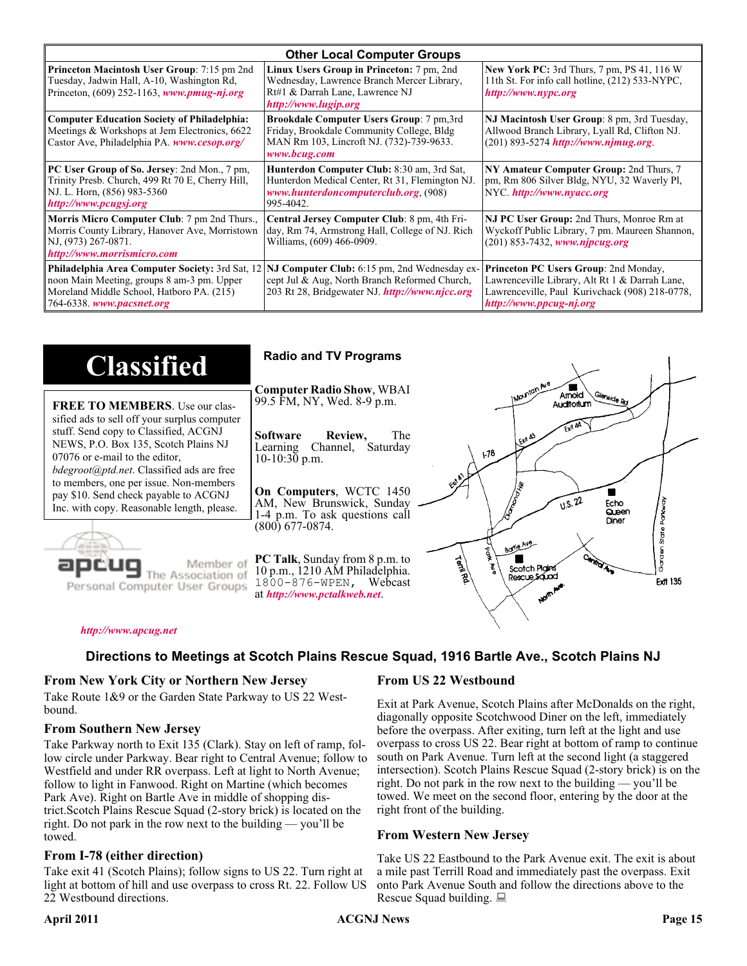| <b>Other Local Computer Groups</b>                                                                                                                                             |                                                                                                                                                           |                                                                                                                                                                      |  |  |
|--------------------------------------------------------------------------------------------------------------------------------------------------------------------------------|-----------------------------------------------------------------------------------------------------------------------------------------------------------|----------------------------------------------------------------------------------------------------------------------------------------------------------------------|--|--|
| <b>Princeton Macintosh User Group:</b> 7:15 pm 2nd<br>Tuesday, Jadwin Hall, A-10, Washington Rd,<br>Princeton, $(609)$ 252-1163, www.pmug-nj.org                               | Linux Users Group in Princeton: 7 pm, 2nd<br>Wednesday, Lawrence Branch Mercer Library,<br>Rt#1 & Darrah Lane, Lawrence NJ<br>http://www.lugip.org        | <b>New York PC:</b> 3rd Thurs, 7 pm, PS 41, 116 W<br>11th St. For info call hotline, (212) 533-NYPC,<br>http://www.nypc.org                                          |  |  |
| <b>Computer Education Society of Philadelphia:</b><br>Meetings & Workshops at Jem Electronics, 6622<br>Castor Ave, Philadelphia PA. www.cesop.org/                             | <b>Brookdale Computer Users Group:</b> 7 pm, 3rd<br>Friday, Brookdale Community College, Bldg<br>MAN Rm 103, Lincroft NJ. (732)-739-9633.<br>www.bcug.com | NJ Macintosh User Group: 8 pm, 3rd Tuesday,<br>Allwood Branch Library, Lyall Rd, Clifton NJ.<br>$(201)$ 893-5274 http://www.njmug.org                                |  |  |
| PC User Group of So. Jersey: 2nd Mon., 7 pm,<br>Trinity Presb. Church, 499 Rt 70 E, Cherry Hill,<br>NJ. L. Horn, (856) 983-5360<br>http://www.pcugsj.org                       | Hunterdon Computer Club: 8:30 am, 3rd Sat,<br>Hunterdon Medical Center, Rt 31, Flemington NJ.<br>www.hunterdoncomputerclub.org. (908)<br>995-4042.        | NY Amateur Computer Group: 2nd Thurs, 7<br>pm, Rm 806 Silver Bldg, NYU, 32 Waverly Pl,<br>NYC http://www.nyacc.org                                                   |  |  |
| Morris Micro Computer Club: 7 pm 2nd Thurs.,<br>Morris County Library, Hanover Ave, Morristown<br>NJ, (973) 267-0871.<br>http://www.morrismicro.com                            | Central Jersey Computer Club: 8 pm, 4th Fri-<br>day, Rm 74, Armstrong Hall, College of NJ. Rich<br>Williams, (609) 466-0909.                              | NJ PC User Group: 2nd Thurs, Monroe Rm at<br>Wyckoff Public Library, 7 pm. Maureen Shannon,<br>$(201)$ 853-7432, www.njpcug.org                                      |  |  |
| <b>Philadelphia Area Computer Society: 3rd Sat, 12</b><br>noon Main Meeting, groups 8 am-3 pm. Upper<br>Moreland Middle School, Hatboro PA. (215)<br>764-6338. www.pacsnet.org | NJ Computer Club: 6:15 pm, 2nd Wednesday ex-<br>cept Jul & Aug, North Branch Reformed Church,<br>203 Rt 28, Bridgewater NJ. http://www.njcc.org           | Princeton PC Users Group: 2nd Monday,<br>Lawrenceville Library, Alt Rt 1 & Darrah Lane,<br>Lawrenceville, Paul Kurivchack (908) 218-0778,<br>http://www.ppcug-nj.org |  |  |

| <b>Classified</b>                                                                                                                                                                                                                                                                                                                                                                             | <b>Radio and TV Programs</b>                                                                                                                                                                                                                                                                                                                                           |
|-----------------------------------------------------------------------------------------------------------------------------------------------------------------------------------------------------------------------------------------------------------------------------------------------------------------------------------------------------------------------------------------------|------------------------------------------------------------------------------------------------------------------------------------------------------------------------------------------------------------------------------------------------------------------------------------------------------------------------------------------------------------------------|
| <b>FREE TO MEMBERS.</b> Use our clas-<br>sified ads to sell off your surplus computer<br>stuff. Send copy to Classified, ACGNJ<br>NEWS, P.O. Box 135, Scotch Plains NJ<br>07076 or e-mail to the editor,<br><i>bdegroot@ptd.net.</i> Classified ads are free<br>to members, one per issue. Non-members<br>pay \$10. Send check payable to ACGNJ<br>Inc. with copy. Reasonable length, please. | IMOUNTON AVE<br><b>Computer Radio Show, WBAI</b><br>Amold<br>Slenside Rd<br>99.5 FM, NY, Wed. 8-9 p.m.<br>Auditorium<br>The<br><b>Software</b><br>Review,<br>L Exit A3<br>Channel, Saturday<br>Learning<br>$\sqrt{3}$<br>$10-10:30$ p.m.<br>On Computers, WCTC 1450<br>0.5.22<br>AM, New Brunswick, Sunday<br>Echo<br>Queen<br>1-4 p.m. To ask questions call<br>Diner |
| Member of<br>ociation of<br>Personal Computer User Groups                                                                                                                                                                                                                                                                                                                                     | $(800)$ 677-0874.<br>ភូ<br>ភ្ន<br>Borle Ave<br>É<br><b>Cantrol Ave</b><br>PC Talk, Sunday from 8 p.m. to<br><b>Termited</b><br>Scotch Plains<br>10 p.m., 1210 AM Philadelphia.<br>Rescue Sound<br><b>Ext 135</b><br>1800-876-WPEN, Webcast<br>at http://www.pctalkweb.net.<br>$\mathbf{v}^{\mathbf{c}^{\prime}}$                                                       |

#### *<http://www.apcug.net>*

#### **Directions to Meetings at Scotch Plains Rescue Squad, 1916 Bartle Ave., Scotch Plains NJ**

#### **From New York City or Northern New Jersey**

Take Route 1&9 or the Garden State Parkway to US 22 Westbound.

#### **From Southern New Jersey**

Take Parkway north to Exit 135 (Clark). Stay on left of ramp, follow circle under Parkway. Bear right to Central Avenue; follow to Westfield and under RR overpass. Left at light to North Avenue; follow to light in Fanwood. Right on Martine (which becomes Park Ave). Right on Bartle Ave in middle of shopping district.Scotch Plains Rescue Squad (2-story brick) is located on the right. Do not park in the row next to the building — you'll be towed.

#### **From I-78 (either direction)**

Take exit 41 (Scotch Plains); follow signs to US 22. Turn right at light at bottom of hill and use overpass to cross Rt. 22. Follow US 22 Westbound directions.

#### **From US 22 Westbound**

Exit at Park Avenue, Scotch Plains after McDonalds on the right, diagonally opposite Scotchwood Diner on the left, immediately before the overpass. After exiting, turn left at the light and use overpass to cross US 22. Bear right at bottom of ramp to continue south on Park Avenue. Turn left at the second light (a staggered intersection). Scotch Plains Rescue Squad (2-story brick) is on the right. Do not park in the row next to the building — you'll be towed. We meet on the second floor, entering by the door at the right front of the building.

#### **From Western New Jersey**

Take US 22 Eastbound to the Park Avenue exit. The exit is about a mile past Terrill Road and immediately past the overpass. Exit onto Park Avenue South and follow the directions above to the Rescue Squad building.

#### April 2011 **Page 15 ACGNJ News** Page 15